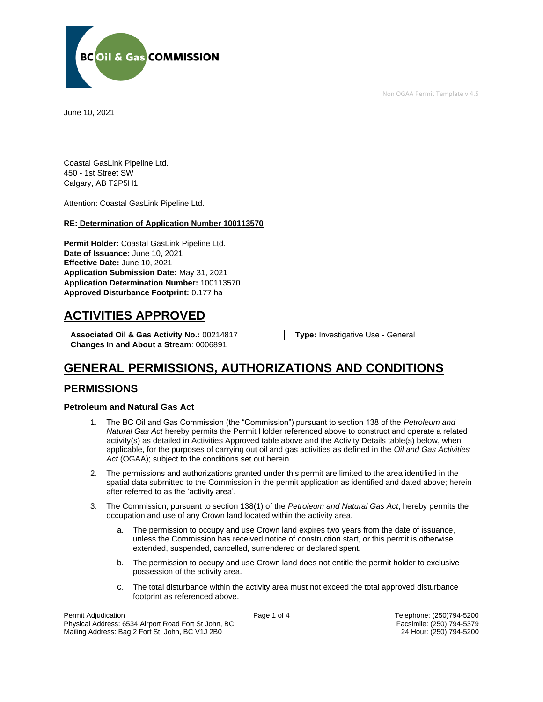Non OGAA Permit Template v 4.5



June 10, 2021

Coastal GasLink Pipeline Ltd. 450 - 1st Street SW Calgary, AB T2P5H1

Attention: Coastal GasLink Pipeline Ltd.

#### **RE: Determination of Application Number 100113570**

**Permit Holder:** Coastal GasLink Pipeline Ltd. **Date of Issuance:** June 10, 2021 **Effective Date:** June 10, 2021 **Application Submission Date:** May 31, 2021 **Application Determination Number:** 100113570 **Approved Disturbance Footprint:** 0.177 ha

## **ACTIVITIES APPROVED**

**Associated Oil & Gas Activity No.:** 00214817 **Type:** Investigative Use - General **Changes In and About a Stream**: 0006891

## **GENERAL PERMISSIONS, AUTHORIZATIONS AND CONDITIONS**

### **PERMISSIONS**

#### **Petroleum and Natural Gas Act**

- 1. The BC Oil and Gas Commission (the "Commission") pursuant to section 138 of the *Petroleum and Natural Gas Act* hereby permits the Permit Holder referenced above to construct and operate a related activity(s) as detailed in Activities Approved table above and the Activity Details table(s) below, when applicable, for the purposes of carrying out oil and gas activities as defined in the *Oil and Gas Activities Act* (OGAA); subject to the conditions set out herein.
- 2. The permissions and authorizations granted under this permit are limited to the area identified in the spatial data submitted to the Commission in the permit application as identified and dated above; herein after referred to as the 'activity area'.
- 3. The Commission, pursuant to section 138(1) of the *Petroleum and Natural Gas Act*, hereby permits the occupation and use of any Crown land located within the activity area.
	- a. The permission to occupy and use Crown land expires two years from the date of issuance, unless the Commission has received notice of construction start, or this permit is otherwise extended, suspended, cancelled, surrendered or declared spent.
	- b. The permission to occupy and use Crown land does not entitle the permit holder to exclusive possession of the activity area.
	- c. The total disturbance within the activity area must not exceed the total approved disturbance footprint as referenced above.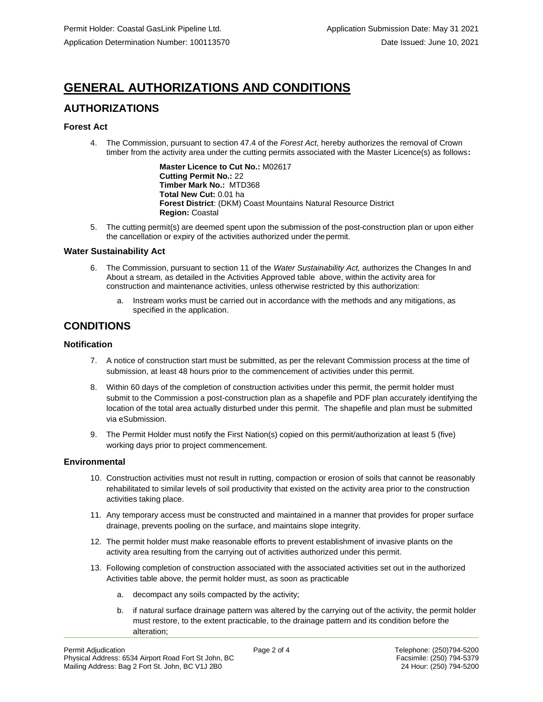# **GENERAL AUTHORIZATIONS AND CONDITIONS**

## **AUTHORIZATIONS**

### **Forest Act**

4. The Commission, pursuant to section 47.4 of the *Forest Act*, hereby authorizes the removal of Crown timber from the activity area under the cutting permits associated with the Master Licence(s) as follows**:**

> **Master Licence to Cut No.:** M02617 **Cutting Permit No.:** 22 **Timber Mark No.:** MTD368 **Total New Cut:** 0.01 ha **Forest District**: (DKM) Coast Mountains Natural Resource District **Region:** Coastal

5. The cutting permit(s) are deemed spent upon the submission of the post-construction plan or upon either the cancellation or expiry of the activities authorized under the permit.

#### **Water Sustainability Act**

- 6. The Commission, pursuant to section 11 of the *Water Sustainability Act,* authorizes the Changes In and About a stream, as detailed in the Activities Approved table above, within the activity area for construction and maintenance activities, unless otherwise restricted by this authorization:
	- a. Instream works must be carried out in accordance with the methods and any mitigations, as specified in the application.

## **CONDITIONS**

### **Notification**

- 7. A notice of construction start must be submitted, as per the relevant Commission process at the time of submission, at least 48 hours prior to the commencement of activities under this permit.
- 8. Within 60 days of the completion of construction activities under this permit, the permit holder must submit to the Commission a post-construction plan as a shapefile and PDF plan accurately identifying the location of the total area actually disturbed under this permit. The shapefile and plan must be submitted via eSubmission.
- 9. The Permit Holder must notify the First Nation(s) copied on this permit/authorization at least 5 (five) working days prior to project commencement.

#### **Environmental**

- 10. Construction activities must not result in rutting, compaction or erosion of soils that cannot be reasonably rehabilitated to similar levels of soil productivity that existed on the activity area prior to the construction activities taking place.
- 11. Any temporary access must be constructed and maintained in a manner that provides for proper surface drainage, prevents pooling on the surface, and maintains slope integrity.
- 12. The permit holder must make reasonable efforts to prevent establishment of invasive plants on the activity area resulting from the carrying out of activities authorized under this permit.
- 13. Following completion of construction associated with the associated activities set out in the authorized Activities table above, the permit holder must, as soon as practicable
	- a. decompact any soils compacted by the activity;
	- b. if natural surface drainage pattern was altered by the carrying out of the activity, the permit holder must restore, to the extent practicable, to the drainage pattern and its condition before the alteration;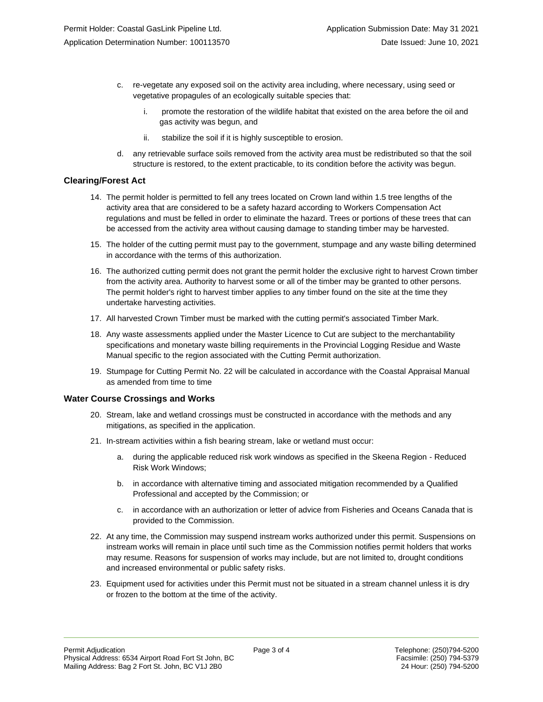- c. re-vegetate any exposed soil on the activity area including, where necessary, using seed or vegetative propagules of an ecologically suitable species that:
	- i. promote the restoration of the wildlife habitat that existed on the area before the oil and gas activity was begun, and
	- ii. stabilize the soil if it is highly susceptible to erosion.
- d. any retrievable surface soils removed from the activity area must be redistributed so that the soil structure is restored, to the extent practicable, to its condition before the activity was begun.

#### **Clearing/Forest Act**

- 14. The permit holder is permitted to fell any trees located on Crown land within 1.5 tree lengths of the activity area that are considered to be a safety hazard according to Workers Compensation Act regulations and must be felled in order to eliminate the hazard. Trees or portions of these trees that can be accessed from the activity area without causing damage to standing timber may be harvested.
- 15. The holder of the cutting permit must pay to the government, stumpage and any waste billing determined in accordance with the terms of this authorization.
- 16. The authorized cutting permit does not grant the permit holder the exclusive right to harvest Crown timber from the activity area. Authority to harvest some or all of the timber may be granted to other persons. The permit holder's right to harvest timber applies to any timber found on the site at the time they undertake harvesting activities.
- 17. All harvested Crown Timber must be marked with the cutting permit's associated Timber Mark.
- 18. Any waste assessments applied under the Master Licence to Cut are subject to the merchantability specifications and monetary waste billing requirements in the Provincial Logging Residue and Waste Manual specific to the region associated with the Cutting Permit authorization.
- 19. Stumpage for Cutting Permit No. 22 will be calculated in accordance with the Coastal Appraisal Manual as amended from time to time

#### **Water Course Crossings and Works**

- 20. Stream, lake and wetland crossings must be constructed in accordance with the methods and any mitigations, as specified in the application.
- 21. In-stream activities within a fish bearing stream, lake or wetland must occur:
	- a. during the applicable reduced risk work windows as specified in the Skeena Region Reduced Risk Work Windows;
	- b. in accordance with alternative timing and associated mitigation recommended by a Qualified Professional and accepted by the Commission; or
	- c. in accordance with an authorization or letter of advice from Fisheries and Oceans Canada that is provided to the Commission.
- 22. At any time, the Commission may suspend instream works authorized under this permit. Suspensions on instream works will remain in place until such time as the Commission notifies permit holders that works may resume. Reasons for suspension of works may include, but are not limited to, drought conditions and increased environmental or public safety risks.
- 23. Equipment used for activities under this Permit must not be situated in a stream channel unless it is dry or frozen to the bottom at the time of the activity.